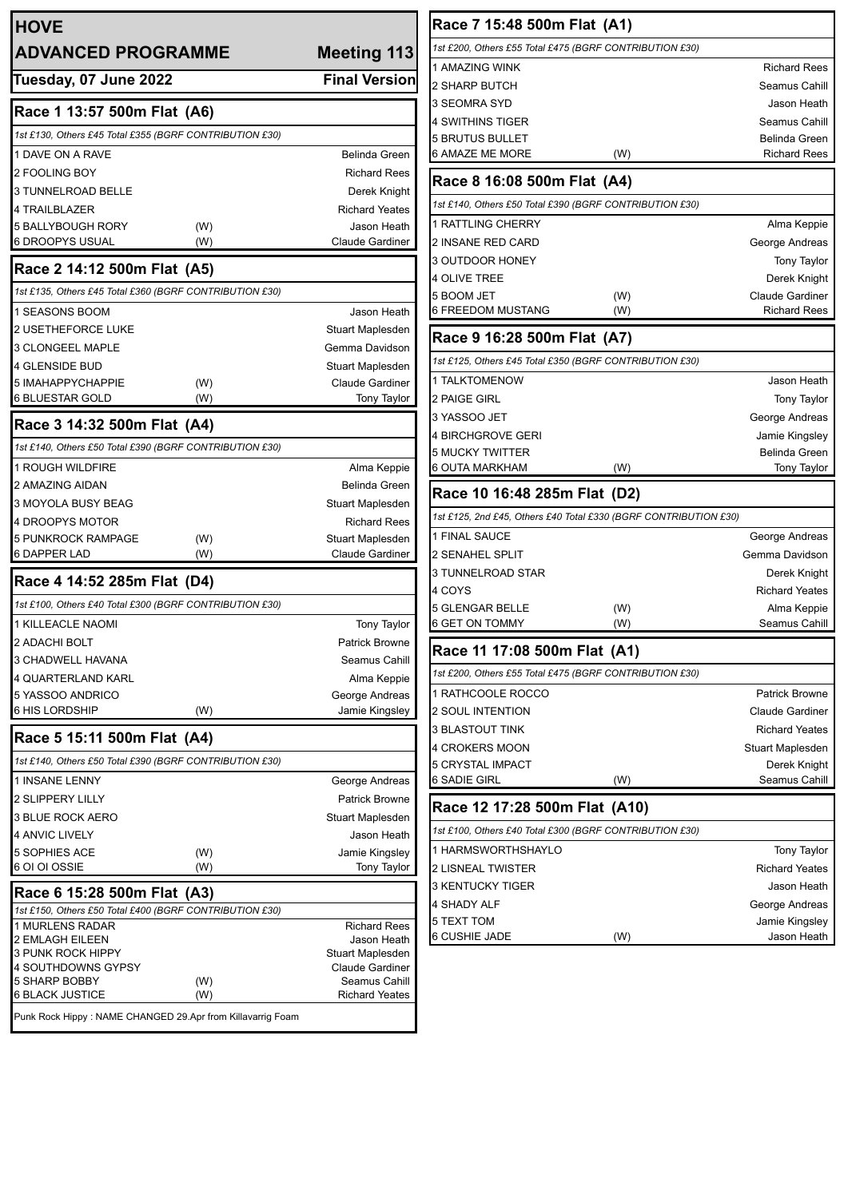| <b>HOVE</b>                                                |                                         | Race 7 15:48 500m                                 |
|------------------------------------------------------------|-----------------------------------------|---------------------------------------------------|
| <b>ADVANCED PROGRAMME</b>                                  | <b>Meeting 113</b>                      | 1st £200, Others £55 Total £475<br>1 AMAZING WINK |
| Tuesday, 07 June 2022                                      | <b>Final Version</b>                    | 2 SHARP BUTCH                                     |
|                                                            |                                         | 3 SEOMRA SYD                                      |
| Race 1 13:57 500m Flat (A6)                                |                                         | 4 SWITHINS TIGER                                  |
| 1st £130, Others £45 Total £355 (BGRF CONTRIBUTION £30)    |                                         | <b>5 BRUTUS BULLET</b>                            |
| 1 DAVE ON A RAVE                                           | <b>Belinda Green</b>                    | <b>6 AMAZE ME MORE</b>                            |
| 2 FOOLING BOY<br>3 TUNNELROAD BELLE                        | <b>Richard Rees</b>                     | Race 8 16:08 500m                                 |
| 4 TRAILBLAZER                                              | Derek Knight<br><b>Richard Yeates</b>   | 1st £140, Others £50 Total £390                   |
| 5 BALLYBOUGH RORY<br>(W)                                   | Jason Heath                             | 1 RATTLING CHERRY                                 |
| 6 DROOPYS USUAL<br>(W)                                     | <b>Claude Gardiner</b>                  | 2 INSANE RED CARD                                 |
| Race 2 14:12 500m Flat (A5)                                |                                         | 3 OUTDOOR HONEY                                   |
| 1st £135, Others £45 Total £360 (BGRF CONTRIBUTION £30)    |                                         | <b>4 OLIVE TREE</b>                               |
| 1 SEASONS BOOM                                             | Jason Heath                             | 5 BOOM JET<br>6 FREEDOM MUSTANG                   |
| 2 USETHEFORCE LUKE                                         | Stuart Maplesden                        |                                                   |
| 3 CLONGEEL MAPLE                                           | Gemma Davidson                          | Race 9 16:28 500m                                 |
| 4 GLENSIDE BUD                                             | Stuart Maplesden                        | 1st £125, Others £45 Total £350                   |
| 5 IMAHAPPYCHAPPIE<br>(W)                                   | Claude Gardiner                         | <b>1 TALKTOMENOW</b>                              |
| <b>6 BLUESTAR GOLD</b><br>(W)                              | Tony Taylor                             | 2 PAIGE GIRL                                      |
| Race 3 14:32 500m Flat (A4)                                |                                         | 3 YASSOO JET                                      |
| 1st £140, Others £50 Total £390 (BGRF CONTRIBUTION £30)    |                                         | 4 BIRCHGROVE GERI<br>5 MUCKY TWITTER              |
| <b>1 ROUGH WILDFIRE</b>                                    | Alma Keppie                             | 6 OUTA MARKHAM                                    |
| 2 AMAZING AIDAN                                            | <b>Belinda Green</b>                    |                                                   |
| 3 MOYOLA BUSY BEAG                                         | Stuart Maplesden                        | Race 10 16:48 285n                                |
| <b>4 DROOPYS MOTOR</b>                                     | <b>Richard Rees</b>                     | 1st £125, 2nd £45, Others £40 1                   |
| 5 PUNKROCK RAMPAGE<br>(W)<br><b>6 DAPPER LAD</b>           | Stuart Maplesden                        | 1 FINAL SAUCE                                     |
| (W)                                                        | <b>Claude Gardiner</b>                  | 2 SENAHEL SPLIT<br>3 TUNNELROAD STAR              |
| Race 4 14:52 285m Flat (D4)                                |                                         | 4 COYS                                            |
| 1st £100, Others £40 Total £300 (BGRF CONTRIBUTION £30)    |                                         | <b>5 GLENGAR BELLE</b>                            |
| <b>1 KILLEACLE NAOMI</b>                                   | <b>Tony Taylor</b>                      | 6 GET ON TOMMY                                    |
| 2 ADACHI BOLT                                              | <b>Patrick Browne</b>                   | Race 11 17:08 500m                                |
| <b>3 CHADWELL HAVANA</b>                                   | Seamus Cahill                           | 1st £200, Others £55 Total £475                   |
| 4 QUARTERLAND KARL<br>5 YASSOO ANDRICO                     | Alma Keppie<br>George Andreas           | 1 RATHCOOLE ROCCO                                 |
| 6 HIS LORDSHIP<br>(W)                                      | Jamie Kingsley                          | <b>2 SOUL INTENTION</b>                           |
|                                                            |                                         | 3 BLASTOUT TINK                                   |
| Race 5 15:11 500m Flat (A4)                                |                                         | 4 CROKERS MOON                                    |
| 1st £140, Others £50 Total £390 (BGRF CONTRIBUTION £30)    |                                         | 5 CRYSTAL IMPACT                                  |
| 1 INSANE LENNY<br>2 SLIPPERY LILLY                         | George Andreas<br><b>Patrick Browne</b> | <b>6 SADIE GIRL</b>                               |
| <b>3 BLUE ROCK AERO</b>                                    | Stuart Maplesden                        | Race 12 17:28 500n                                |
| 4 ANVIC LIVELY                                             | Jason Heath                             | 1st £100, Others £40 Total £300                   |
| 5 SOPHIES ACE<br>(W)                                       | Jamie Kingsley                          | 1 HARMSWORTHSHAYLO                                |
| 6 OI OI OSSIE<br>(W)                                       | Tony Taylor                             | 2 LISNEAL TWISTER                                 |
| Race 6 15:28 500m Flat (A3)                                |                                         | 3 KENTUCKY TIGER                                  |
| 1st £150, Others £50 Total £400 (BGRF CONTRIBUTION £30)    |                                         | 4 SHADY ALF                                       |
| <b>1 MURLENS RADAR</b>                                     | <b>Richard Rees</b>                     | 5 TEXT TOM<br>6 CUSHIE JADE                       |
| 2 EMLAGH EILEEN<br><b>3 PUNK ROCK HIPPY</b>                | Jason Heath<br>Stuart Maplesden         |                                                   |
| 4 SOUTHDOWNS GYPSY                                         | Claude Gardiner                         |                                                   |
| 5 SHARP BOBBY<br>(W)<br>6 BLACK JUSTICE<br>(W)             | Seamus Cahill<br><b>Richard Yeates</b>  |                                                   |
| Punk Rock Hippy: NAME CHANGED 29.Apr from Killavarrig Foam |                                         |                                                   |
|                                                            |                                         |                                                   |

| Race 7 15:48 500m Flat (A1)                                      |                               |  |  |  |  |  |  |
|------------------------------------------------------------------|-------------------------------|--|--|--|--|--|--|
| 1st £200, Others £55 Total £475 (BGRF CONTRIBUTION £30)          |                               |  |  |  |  |  |  |
| 1 AMAZING WINK                                                   | <b>Richard Rees</b>           |  |  |  |  |  |  |
| 2 SHARP BUTCH                                                    | Seamus Cahill                 |  |  |  |  |  |  |
| 3 SEOMRA SYD                                                     | Jason Heath                   |  |  |  |  |  |  |
| 4 SWITHINS TIGER                                                 | Seamus Cahill                 |  |  |  |  |  |  |
| 5 BRUTUS BULLET                                                  | Belinda Green                 |  |  |  |  |  |  |
| 6 AMAZE ME MORE                                                  | (W)<br><b>Richard Rees</b>    |  |  |  |  |  |  |
| Race 8 16:08 500m Flat (A4)                                      |                               |  |  |  |  |  |  |
| 1st £140, Others £50 Total £390 (BGRF CONTRIBUTION £30)          |                               |  |  |  |  |  |  |
| 1 RATTLING CHERRY                                                | Alma Keppie                   |  |  |  |  |  |  |
| 2 INSANE RED CARD                                                | George Andreas                |  |  |  |  |  |  |
| 3 OUTDOOR HONEY                                                  | <b>Tony Taylor</b>            |  |  |  |  |  |  |
| 4 OLIVE TREE                                                     | Derek Knight                  |  |  |  |  |  |  |
| 5 BOOM JET                                                       | (W)<br><b>Claude Gardiner</b> |  |  |  |  |  |  |
| 6 FREEDOM MUSTANG                                                | <b>Richard Rees</b><br>(W)    |  |  |  |  |  |  |
| Race 9 16:28 500m Flat (A7)                                      |                               |  |  |  |  |  |  |
| 1st £125, Others £45 Total £350 (BGRF CONTRIBUTION £30)          |                               |  |  |  |  |  |  |
| 1 TALKTOMENOW                                                    | Jason Heath                   |  |  |  |  |  |  |
| 2 PAIGE GIRL                                                     | <b>Tony Taylor</b>            |  |  |  |  |  |  |
| 3 YASSOO JET                                                     | George Andreas                |  |  |  |  |  |  |
| 4 BIRCHGROVE GERI                                                | Jamie Kingsley                |  |  |  |  |  |  |
| 5 MUCKY TWITTER                                                  | Belinda Green                 |  |  |  |  |  |  |
| 6 OUTA MARKHAM                                                   | (W)<br>Tony Taylor            |  |  |  |  |  |  |
| Race 10 16:48 285m Flat (D2)                                     |                               |  |  |  |  |  |  |
| 1st £125, 2nd £45, Others £40 Total £330 (BGRF CONTRIBUTION £30) |                               |  |  |  |  |  |  |
| 1 FINAL SAUCE                                                    | George Andreas                |  |  |  |  |  |  |
| 2 SENAHEL SPLIT                                                  | Gemma Davidson                |  |  |  |  |  |  |
| 3 TUNNELROAD STAR                                                | Derek Knight                  |  |  |  |  |  |  |
| 4 COYS                                                           |                               |  |  |  |  |  |  |
|                                                                  | <b>Richard Yeates</b>         |  |  |  |  |  |  |
| 5 GLENGAR BELLE                                                  | (W)<br>Alma Keppie            |  |  |  |  |  |  |
| 6 GET ON TOMMY                                                   | Seamus Cahill<br>(W)          |  |  |  |  |  |  |
| Race 11 17:08 500m Flat (A1)                                     |                               |  |  |  |  |  |  |
| 1st £200, Others £55 Total £475 (BGRF CONTRIBUTION £30)          |                               |  |  |  |  |  |  |
| 1 RATHCOOLE ROCCO                                                | <b>Patrick Browne</b>         |  |  |  |  |  |  |
| 2 SOUL INTENTION                                                 | <b>Claude Gardiner</b>        |  |  |  |  |  |  |
| 3 BLASTOUT TINK                                                  | <b>Richard Yeates</b>         |  |  |  |  |  |  |
| 4 CROKERS MOON                                                   | Stuart Maplesden              |  |  |  |  |  |  |
| <b>5 CRYSTAL IMPACT</b>                                          | Derek Knight                  |  |  |  |  |  |  |
| 6 SADIE GIRL                                                     | (W)<br>Seamus Cahill          |  |  |  |  |  |  |
| Race 12 17:28 500m Flat (A10)                                    |                               |  |  |  |  |  |  |
| 1st £100, Others £40 Total £300 (BGRF CONTRIBUTION £30)          |                               |  |  |  |  |  |  |
| 1 HARMSWORTHSHAYLO                                               | <b>Tony Taylor</b>            |  |  |  |  |  |  |
| 2 LISNEAL TWISTER                                                | <b>Richard Yeates</b>         |  |  |  |  |  |  |
| 3 KENTUCKY TIGER                                                 | Jason Heath                   |  |  |  |  |  |  |
| 4 SHADY ALF                                                      | George Andreas                |  |  |  |  |  |  |
| 5 TEXT TOM                                                       | Jamie Kingsley                |  |  |  |  |  |  |